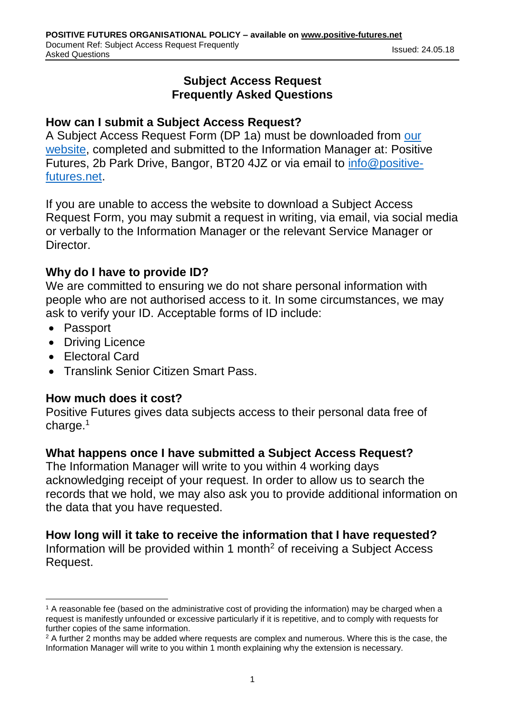# **Subject Access Request Frequently Asked Questions**

## **How can I submit a Subject Access Request?**

A Subject Access Request Form (DP 1a) must be downloaded from [our](https://www.positive-futures.net/news-media/354/subject-access-request)  [website,](https://www.positive-futures.net/news-media/354/subject-access-request) completed and submitted to the Information Manager at: Positive Futures, 2b Park Drive, Bangor, BT20 4JZ or via email to [info@positive](mailto:info@positive-futures.net)[futures.net.](mailto:info@positive-futures.net)

If you are unable to access the website to download a Subject Access Request Form, you may submit a request in writing, via email, via social media or verbally to the Information Manager or the relevant Service Manager or Director.

## **Why do I have to provide ID?**

We are committed to ensuring we do not share personal information with people who are not authorised access to it. In some circumstances, we may ask to verify your ID. Acceptable forms of ID include:

- Passport
- Driving Licence
- Electoral Card
- Translink Senior Citizen Smart Pass.

## **How much does it cost?**

Positive Futures gives data subjects access to their personal data free of charge. 1

# **What happens once I have submitted a Subject Access Request?**

The Information Manager will write to you within 4 working days acknowledging receipt of your request. In order to allow us to search the records that we hold, we may also ask you to provide additional information on the data that you have requested.

# **How long will it take to receive the information that I have requested?**

Information will be provided within 1 month<sup>2</sup> of receiving a Subject Access Request.

<sup>-</sup> $1$  A reasonable fee (based on the administrative cost of providing the information) may be charged when a request is manifestly unfounded or excessive particularly if it is repetitive, and to comply with requests for further copies of the same information.

<sup>&</sup>lt;sup>2</sup> A further 2 months may be added where requests are complex and numerous. Where this is the case, the Information Manager will write to you within 1 month explaining why the extension is necessary.